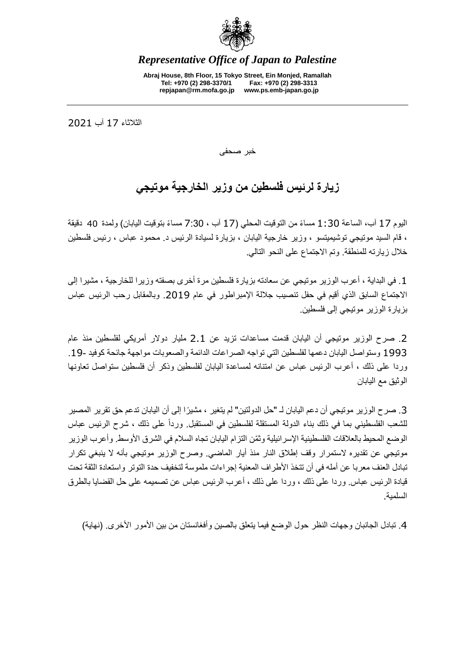

*Representative Office of Japan to Palestine*

**Abraj House, 8th Floor, 15 Tokyo Street, Ein Monjed, Ramallah Tel: +970 (2) 298-3370/1 Fax: +970 (2) 298-3313 repjapan@rm.mofa.go.jp www.ps.emb-japan.go.jp**

الثالثاء 71 آب 0207

خبر صحفى

## **زيارة لرئيس فلسطين من وزير الخارجية موتيجي**

اليو م 17 آب، الساعة 1:30 مساءً من التوقيت المحلي (17 آب ، 7:30 مساءً بتوقيت اليابان) ولمدة 40 دقيقة ، قام السيد موتيجي توشيميتسو ، وزير خارجية اليابان ، بزيارة لسيادة الرئيس د. محمود عباس ، رئيس فلسطين خالل زيارته للمنطقة. وتم االجتماع على النحو التالي.

.7 في البداية ، أعرب الوزير موتيجي عن سعادته بزيارة فلسطين مرة أخرى بصفته وزيرا للخارجية ، مشيرا إلى االجتماع السابق الذي أقيم في حفل تنصيب جاللة اإلمبراطور في عام .0272 وبالمقابل رحب الرئيس عباس بزيارة الوزير موتيجي إلى فلسطين.

.0 صرح الوزير موتيجي أن اليابان قدمت مساعدات تزيد عن 0.7 مليار دوالر أمريكي لفلسطين منذ عام 722: وستواصل اليابان دعمها لفلسطين التي تواجه الصراعات الدائمة والصعوبات مواجهة جائحة كوفيد .72- وردا على ذلك ، أعرب الرئيس عباس عن امتنانه لمساعدة اليابان لفلسطين وذكر أن فلسطين ستواصل تعاونها الوثيق مع اليابان

3. صرح الوزير موتيجي أن دعم اليابان لـ "حل الدولتين" لم يتغير ، مشيرًا إلى أن اليابان تدعم حق تقرير المصير للشعب الفلسطيني بما في ذلك بناء الدولة المستقلة لفلسطين في المستقبل. ورداً على ذلك ، شرح الرئيس عباس الوضع المحيط بالعلاقات الفلسطينية الإسرائيلية وثمّن التزام اليابان تجاه السلام في الشرق الأوسط. وأعرب الوزير موتيجي عن تقديره الستمرار وقف إطالق النار منذ أيار الماضي. وصرح الوزير موتيجي بأنه ال ينبغي تكرار تبادل العنف معربا عن أمله في أن تتخذ األطراف المعنية إجراءات ملموسة لتخفيف حدة التوتر واستعادة الثقة تحت قيادة الرئيس عباس. وردا على ذلك ، وردا على ذلك ، أعرب الرئيس عباس عن تصميمه على حل القضايا بالطرق السلمية.

4. تبادل الجانبان وجهات النظر حول الوضع فيما يتعلق بالصين وأفغانستان من بين الأمور الأخرى. (نهاية)